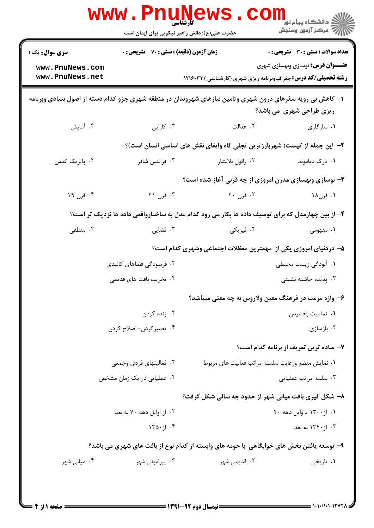| <b>سری سوال :</b> یک ۱ | <b>زمان آزمون (دقیقه) : تستی : 70 ٪ تشریحی : 0</b> |                                                                                                             | <b>تعداد سوالات : تستی : 30 ٪ تشریحی : 0</b> |
|------------------------|----------------------------------------------------|-------------------------------------------------------------------------------------------------------------|----------------------------------------------|
| www.PnuNews.com        |                                                    |                                                                                                             | <b>عنـــوان درس:</b> نوسازی وبهسازی شهری     |
| www.PnuNews.net        |                                                    | <b>رشته تحصیلی/کد درس:</b> جغرافیاوبرنامه ریزی شهری (کارشناسی ) ۱۲۱۶۰۳۳                                     |                                              |
|                        |                                                    | ۱– کاهش بی رویه سفرهای درون شهری وتامین نیازهای شهروندان در منطقه شهری جزو کدام دسته از اصول بنیادی وبرنامه | ریزی طراحی شهری ًمی باشد؟                    |
| ۰۴ آمایش               | ۰۳ کارایی                                          | ۰۲ عدالت                                                                                                    | ۰۱ سازگاری                                   |
|                        |                                                    | ۲- این جمله از کیست( شهربارزترین تجلی گاه وایفای نقش های اساسی انسان است)؟                                  |                                              |
| ۰۴ پاتریک گدس          | ۰۳ فرانتس شافر                                     | ۰۲ رائول بلانشار                                                                                            | ۰۱ درک دیاموند                               |
|                        |                                                    | ۳- نوسازی وبهسازی مدرن امروزی از چه قرنی آغاز شده است؟                                                      |                                              |
| ۰۴ قرن ۱۹              | ۰۳ قرن ۲۱                                          | ۰۲ قرن ۲۰                                                                                                   | ۰۱ قرن۱۸                                     |
|                        |                                                    | ۴- از بین چهارمدل که برای توصیف داده ها بکار می رود کدام مدل به ساختارواقعی داده ها نزدیک تر است؟           |                                              |
| ۰۴ منطقی               | ۰۳ فضایی                                           | ۰۲ فیزیکی                                                                                                   | ۱. مفهومی                                    |
|                        |                                                    | ۵– دردنیای امروزی یکی از ًمهمترین معظلات اجتماعی وشهری کدام است؟                                            |                                              |
|                        | ۲. فرسودگی فضاهای کالبدی                           |                                                                                                             | ۰۱ آلودگی زیست محیطی                         |
|                        | ۰۴ تخریب بافت های قدیمی                            |                                                                                                             | ۰۳ پدیده حاشیه نشینی                         |
|                        |                                                    | ۶– واژه مرمت در فرهنگ معین ولاروس به چه معنی میباشد؟                                                        |                                              |
|                        | ۰۲ زنده کردن                                       |                                                                                                             | ٠١ تماميت بخشيدن                             |
|                        | ۰۴ تعمیر کردن- اصلاح کردن                          |                                                                                                             | ۰۳ بازسازی                                   |
|                        |                                                    |                                                                                                             | ۷- ساده ترین تعریف از برنامه کدام است؟       |
|                        | ٢. فعاليتهاي فردي وجمعي                            | ۰۱ نمایش منظم ورعایت سلسله مراتب فعالیت های مربوط                                                           |                                              |
|                        | ۰۴ عملیاتی در یک زمان مشخص                         |                                                                                                             | ۰۳ سلسه مراتب عملیاتی                        |
|                        |                                                    | ۸- شکل گیری بافت میانی شهر از حدود چه سالی شکل گرفت؟                                                        |                                              |
|                        | ۰۲ از اوایل دهه ۷۰ به بعد                          |                                                                                                             | ۰۱ از ۱۳۰۰ تااوایل دهه ۴۰                    |
|                        | $170 \cdot 11.5$                                   |                                                                                                             | ۰۳ از ۱۳۴۰ به بعد                            |
|                        |                                                    | ۹– توسعه یافتن بخش های خوابگاهی با حومه های وابسته از کدام نوع از بافت های شهری می باشد؟                    |                                              |
| ۰۴ میانی شهر           | ۰۳ پیرامونی شهر                                    | ۰۲ قدیمی شهر                                                                                                | ۰۱ تاریخی                                    |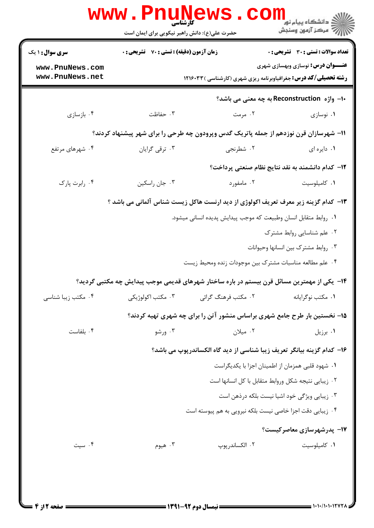|                                    | www.PnuNews<br>حضرت علی(ع): دانش راهبر نیکویی برای ایمان است |                                                                                            | ر دانشڪاه پيام نور <mark>−</mark><br>ا∛ مرکز آزمون وسنڊش |
|------------------------------------|--------------------------------------------------------------|--------------------------------------------------------------------------------------------|----------------------------------------------------------|
| سری سوال: ۱ یک                     | <b>زمان آزمون (دقیقه) : تستی : 70 قشریحی : 0</b>             |                                                                                            | تعداد سوالات : تستي : 30 ٪ تشريحي : 0                    |
| www.PnuNews.com<br>www.PnuNews.net |                                                              | <b>رشته تحصیلی/کد درس:</b> جغرافیاوبرنامه ریزی شهری (کارشناسی ) ۱۲۱۶۰۳۳                    | <b>عنـــوان درس:</b> نوسازي وبهسازي شهري                 |
|                                    |                                                              |                                                                                            | -ا- واژه Reconstruction به چه معنی می باشد؟              |
| ۰۴ بازسازی                         | ۰۳ حفاظت                                                     | ۰۲ مرمت                                                                                    | ۰۱ نوسازی                                                |
|                                    |                                                              | 11- شهرسازان قرن نوزدهم از جمله پاتریک گدس وپرودون چه طرحی را برای شهر پیشنهاد کردند؟      |                                                          |
| ۰۴ شهرهای مرتفع                    | ۰۳ ترقی گرایان                                               | ۰۲ شطرنجي                                                                                  | ۰۱ دایره ای                                              |
|                                    |                                                              |                                                                                            | ۱۲– کدام دانشمند به نقد نتایج نظام صنعتی پرداخت؟         |
| ۰۴ رابرت پارک                      | ۰۳ جان راسكين                                                | ۰۲ مامفورد                                                                                 | ٠١ كاميلوسيت                                             |
|                                    |                                                              | ۱۳- کدام گزینه زیر معرف تعریف اکولوژی از دید ارنست هاکل زیست شناس آلمانی می باشد ؟         |                                                          |
|                                    |                                                              | ٠١. روابط متقابل انسان وطبيعت كه موجب پيدايش پديده انساني ميشود.                           |                                                          |
|                                    |                                                              |                                                                                            | ۰۲ علم شناسایی روابط مشترک                               |
|                                    |                                                              |                                                                                            | ٠٣ روابط مشترك بين انسانها وحيوانات                      |
|                                    |                                                              | ۰۴ علم مطالعه مناسبات مشترک بین موجودات زنده ومحیط زیست                                    |                                                          |
|                                    |                                                              | ۱۴– یکی از مهمترین مسائل قرن بیستم در باره ساختار شهرهای قدیمی موجب پیدایش چه مکتبی گردید؟ |                                                          |
| ۰۴ مکتب زیبا شناسی                 | ۰۳ مکتب اکولوژیکی                                            | ۰۲ مکتب فرهنگ گرائی                                                                        | ۰۱ مكتب نوگرايانه                                        |
|                                    |                                                              | ۱۵– نخستین بار طرح جامع شهری براساس منشور آتن را برای چه شهری تهیه کردند؟                  |                                                          |
| ۰۴ بلفاست                          | ۰۳ ورشو                                                      | ۰۲ میلان                                                                                   | ۰۱ برزیل                                                 |
|                                    |                                                              | ۱۶– کدام گزینه بیانگر تعریف زیبا شناسی از دید گاه الکساندرپوپ می باشد؟                     |                                                          |
|                                    |                                                              |                                                                                            | ۰۱ شهود قلبی همزمان از اطمینان اجزا با یکدیگراست         |
|                                    |                                                              | ٠٢ زيبايي نتيجه شكل وروابط متقابل با كل انسانها است                                        |                                                          |
|                                    |                                                              |                                                                                            | ۰۳ زیبایی ویژگی خود اشیا نیست بلکه درذهن است             |
|                                    |                                                              | ۰۴ زیبایی دقت اجزا خاصی نیست بلکه نیرویی به هم پیوسته است                                  |                                                          |
|                                    |                                                              |                                                                                            | <b>۱۷- پدرشهرسازی معاصرکیست؟</b>                         |
| ۰۴ سیت                             | ۰۳ هیوم                                                      | ۰۲ الكساندرپوپ                                                                             | ۰۱ کامیلوسیت                                             |
|                                    |                                                              |                                                                                            |                                                          |
|                                    |                                                              |                                                                                            |                                                          |
|                                    |                                                              |                                                                                            |                                                          |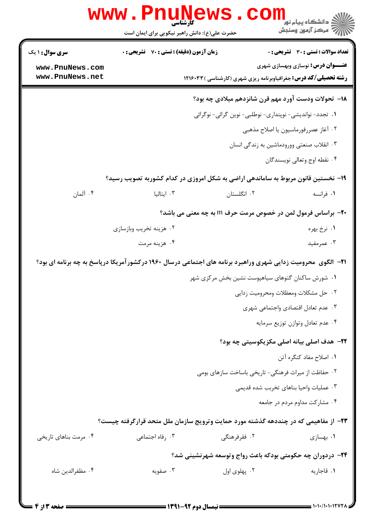| <b>زمان آزمون (دقیقه) : تستی : 70 ٪ تشریحی : 0</b><br>تعداد سوالات : تستي : 30 ٪ تشريحي : 0<br><b>سری سوال : ۱ یک</b><br><b>عنـــوان درس:</b> نوسازی وبهسازی شهری<br>www.PnuNews.com<br>www.PnuNews.net<br><b>رشته تحصیلی/کد درس:</b> جغرافیاوبرنامه ریزی شهری (کارشناسی ) ۱۲۱۶۰۳۳<br>18– تحولات ودست آورد مهم قرن شانزدهم میلادی چه بود؟<br>١. تجدد- نوانديشي- نوپنداري- نوطلبي- نوين گرائي- نوگرائي<br>٠٢ آغاز عصررفورماسيون يا اصلاح مذهبي<br>۰۳ انقلاب صنعتي وورودماشين به زندگي انسان<br>۴. نقطه اوج وتعالى نويسندگان<br>۱۹- نخستین قانون مربوط به ساماندهی اراضی به شکل امروزی در کدام کشوربه تصویب رسید؟<br>۰۴ آلمان<br>۰۳ ایتالیا<br>۰۲ انگلستان<br>۰۱ فرانسه<br><b>۰۲</b> - براساس فرمول لمن در خصوص مرمت حرف m به چه معنی می باشد؟<br>۰۲ هزینه تخریب وبازسازی<br>۰۱ نرخ بهره<br>۰۴ هزينه مرمت<br>۰۳ عمرمفید<br><b>۲۱</b> - الگوی محرومیت زدایی شهری وراهبرد برنامه های اجتماعی درسال ۱۹۶۰ درکشورآمریکا درپاسخ به چه برنامه ای بود؟<br>۰۱ شورش ساکنان گتوهای سیاهپوست نشین بخش مرکزی شهر<br>٠٢ حل مشكلات ومعظلات ومحروميت زدايي<br>٠٣ عدم تعادل اقتصادي واجتماعي شهري<br>۰۴ عدم تعادل وتوازن توزيع سرمايه<br><b>۲۲</b> - هدف اصلی بیانه اصلی مکزیکوسیتی چه بود؟<br>٠١. اصلاح مفاد كنگره آتن<br>۰۲ حفاظت از میراث فرهنگی- تاریخی باساخت سازهای بومی<br>۰۳ عملیات واحیا بناهای تخربب شده قدیمی<br>۰۴ مشارکت مداوم مردم در جامعه<br>۲۳- از مفاهیمی که در چنددهه گذشته مورد حمایت وترویج سازمان ملل متحد قرارگرفته چیست؟<br>۰۳ رفاه اجتماعی<br>۰۲ فقرفرهنگی<br>۰۴ مرمت بناهای تاریخی<br>۰۱ بهسازی<br>۲۴– دردوران چه حکومتی بودکه باعث رواج وتوسعه شهرنشینی شد؟<br>۰۳ صفویه<br>۰۴ مظفرالدين شاه<br>۰۲ پهلوی اول<br>٠١. قاجاريه | www.PnuNews<br>حضرت علی(ع): دانش راهبر نیکویی برای ایمان است | ڪ دانشڪاه پيا <sub>م</sub> نور<br><mark>√</mark> مرڪز آزمون وسنڊش |
|------------------------------------------------------------------------------------------------------------------------------------------------------------------------------------------------------------------------------------------------------------------------------------------------------------------------------------------------------------------------------------------------------------------------------------------------------------------------------------------------------------------------------------------------------------------------------------------------------------------------------------------------------------------------------------------------------------------------------------------------------------------------------------------------------------------------------------------------------------------------------------------------------------------------------------------------------------------------------------------------------------------------------------------------------------------------------------------------------------------------------------------------------------------------------------------------------------------------------------------------------------------------------------------------------------------------------------------------------------------------------------------------------------------------------------------------------------------------------------------------------------------------------------------------------------------------------------------------------------------------------------|--------------------------------------------------------------|-------------------------------------------------------------------|
|                                                                                                                                                                                                                                                                                                                                                                                                                                                                                                                                                                                                                                                                                                                                                                                                                                                                                                                                                                                                                                                                                                                                                                                                                                                                                                                                                                                                                                                                                                                                                                                                                                    |                                                              |                                                                   |
|                                                                                                                                                                                                                                                                                                                                                                                                                                                                                                                                                                                                                                                                                                                                                                                                                                                                                                                                                                                                                                                                                                                                                                                                                                                                                                                                                                                                                                                                                                                                                                                                                                    |                                                              |                                                                   |
|                                                                                                                                                                                                                                                                                                                                                                                                                                                                                                                                                                                                                                                                                                                                                                                                                                                                                                                                                                                                                                                                                                                                                                                                                                                                                                                                                                                                                                                                                                                                                                                                                                    |                                                              |                                                                   |
|                                                                                                                                                                                                                                                                                                                                                                                                                                                                                                                                                                                                                                                                                                                                                                                                                                                                                                                                                                                                                                                                                                                                                                                                                                                                                                                                                                                                                                                                                                                                                                                                                                    |                                                              |                                                                   |
|                                                                                                                                                                                                                                                                                                                                                                                                                                                                                                                                                                                                                                                                                                                                                                                                                                                                                                                                                                                                                                                                                                                                                                                                                                                                                                                                                                                                                                                                                                                                                                                                                                    |                                                              |                                                                   |
|                                                                                                                                                                                                                                                                                                                                                                                                                                                                                                                                                                                                                                                                                                                                                                                                                                                                                                                                                                                                                                                                                                                                                                                                                                                                                                                                                                                                                                                                                                                                                                                                                                    |                                                              |                                                                   |
|                                                                                                                                                                                                                                                                                                                                                                                                                                                                                                                                                                                                                                                                                                                                                                                                                                                                                                                                                                                                                                                                                                                                                                                                                                                                                                                                                                                                                                                                                                                                                                                                                                    |                                                              |                                                                   |
|                                                                                                                                                                                                                                                                                                                                                                                                                                                                                                                                                                                                                                                                                                                                                                                                                                                                                                                                                                                                                                                                                                                                                                                                                                                                                                                                                                                                                                                                                                                                                                                                                                    |                                                              |                                                                   |
|                                                                                                                                                                                                                                                                                                                                                                                                                                                                                                                                                                                                                                                                                                                                                                                                                                                                                                                                                                                                                                                                                                                                                                                                                                                                                                                                                                                                                                                                                                                                                                                                                                    |                                                              |                                                                   |
|                                                                                                                                                                                                                                                                                                                                                                                                                                                                                                                                                                                                                                                                                                                                                                                                                                                                                                                                                                                                                                                                                                                                                                                                                                                                                                                                                                                                                                                                                                                                                                                                                                    |                                                              |                                                                   |
|                                                                                                                                                                                                                                                                                                                                                                                                                                                                                                                                                                                                                                                                                                                                                                                                                                                                                                                                                                                                                                                                                                                                                                                                                                                                                                                                                                                                                                                                                                                                                                                                                                    |                                                              |                                                                   |
|                                                                                                                                                                                                                                                                                                                                                                                                                                                                                                                                                                                                                                                                                                                                                                                                                                                                                                                                                                                                                                                                                                                                                                                                                                                                                                                                                                                                                                                                                                                                                                                                                                    |                                                              |                                                                   |
|                                                                                                                                                                                                                                                                                                                                                                                                                                                                                                                                                                                                                                                                                                                                                                                                                                                                                                                                                                                                                                                                                                                                                                                                                                                                                                                                                                                                                                                                                                                                                                                                                                    |                                                              |                                                                   |
|                                                                                                                                                                                                                                                                                                                                                                                                                                                                                                                                                                                                                                                                                                                                                                                                                                                                                                                                                                                                                                                                                                                                                                                                                                                                                                                                                                                                                                                                                                                                                                                                                                    |                                                              |                                                                   |
|                                                                                                                                                                                                                                                                                                                                                                                                                                                                                                                                                                                                                                                                                                                                                                                                                                                                                                                                                                                                                                                                                                                                                                                                                                                                                                                                                                                                                                                                                                                                                                                                                                    |                                                              |                                                                   |
|                                                                                                                                                                                                                                                                                                                                                                                                                                                                                                                                                                                                                                                                                                                                                                                                                                                                                                                                                                                                                                                                                                                                                                                                                                                                                                                                                                                                                                                                                                                                                                                                                                    |                                                              |                                                                   |
|                                                                                                                                                                                                                                                                                                                                                                                                                                                                                                                                                                                                                                                                                                                                                                                                                                                                                                                                                                                                                                                                                                                                                                                                                                                                                                                                                                                                                                                                                                                                                                                                                                    |                                                              |                                                                   |
|                                                                                                                                                                                                                                                                                                                                                                                                                                                                                                                                                                                                                                                                                                                                                                                                                                                                                                                                                                                                                                                                                                                                                                                                                                                                                                                                                                                                                                                                                                                                                                                                                                    |                                                              |                                                                   |
|                                                                                                                                                                                                                                                                                                                                                                                                                                                                                                                                                                                                                                                                                                                                                                                                                                                                                                                                                                                                                                                                                                                                                                                                                                                                                                                                                                                                                                                                                                                                                                                                                                    |                                                              |                                                                   |
|                                                                                                                                                                                                                                                                                                                                                                                                                                                                                                                                                                                                                                                                                                                                                                                                                                                                                                                                                                                                                                                                                                                                                                                                                                                                                                                                                                                                                                                                                                                                                                                                                                    |                                                              |                                                                   |
|                                                                                                                                                                                                                                                                                                                                                                                                                                                                                                                                                                                                                                                                                                                                                                                                                                                                                                                                                                                                                                                                                                                                                                                                                                                                                                                                                                                                                                                                                                                                                                                                                                    |                                                              |                                                                   |
|                                                                                                                                                                                                                                                                                                                                                                                                                                                                                                                                                                                                                                                                                                                                                                                                                                                                                                                                                                                                                                                                                                                                                                                                                                                                                                                                                                                                                                                                                                                                                                                                                                    |                                                              |                                                                   |
|                                                                                                                                                                                                                                                                                                                                                                                                                                                                                                                                                                                                                                                                                                                                                                                                                                                                                                                                                                                                                                                                                                                                                                                                                                                                                                                                                                                                                                                                                                                                                                                                                                    |                                                              |                                                                   |
|                                                                                                                                                                                                                                                                                                                                                                                                                                                                                                                                                                                                                                                                                                                                                                                                                                                                                                                                                                                                                                                                                                                                                                                                                                                                                                                                                                                                                                                                                                                                                                                                                                    |                                                              |                                                                   |
|                                                                                                                                                                                                                                                                                                                                                                                                                                                                                                                                                                                                                                                                                                                                                                                                                                                                                                                                                                                                                                                                                                                                                                                                                                                                                                                                                                                                                                                                                                                                                                                                                                    |                                                              |                                                                   |
|                                                                                                                                                                                                                                                                                                                                                                                                                                                                                                                                                                                                                                                                                                                                                                                                                                                                                                                                                                                                                                                                                                                                                                                                                                                                                                                                                                                                                                                                                                                                                                                                                                    |                                                              |                                                                   |
|                                                                                                                                                                                                                                                                                                                                                                                                                                                                                                                                                                                                                                                                                                                                                                                                                                                                                                                                                                                                                                                                                                                                                                                                                                                                                                                                                                                                                                                                                                                                                                                                                                    |                                                              |                                                                   |